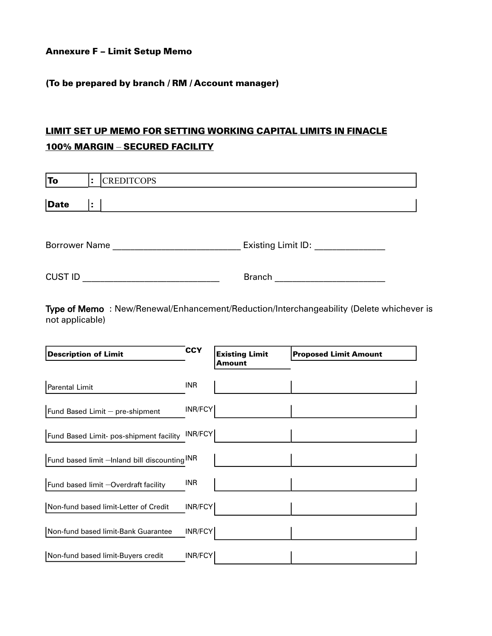Annexure F – Limit Setup Memo

#### (To be prepared by branch / RM / Account manager)

# LIMIT SET UP MEMO FOR SETTING WORKING CAPITAL LIMITS IN FINACLE 100% MARGIN – SECURED FACILITY

| To                   | ÷ | <b>CREDITCOPS</b>  |  |
|----------------------|---|--------------------|--|
| <b>Date</b>          | ÷ |                    |  |
|                      |   |                    |  |
| <b>Borrower Name</b> |   | Existing Limit ID: |  |
|                      |   |                    |  |

CUST ID \_\_\_\_\_\_\_\_\_\_\_\_\_\_\_\_\_\_\_\_\_\_\_\_\_\_\_\_\_\_\_ Branch \_\_\_\_\_\_\_\_\_\_\_\_\_\_\_\_\_\_\_\_\_\_\_\_\_

Type of Memo : New/Renewal/Enhancement/Reduction/Interchangeability (Delete whichever is not applicable)

| <b>Description of Limit</b>                   | <b>CCY</b> | <b>Existing Limit</b><br>Amount | <b>Proposed Limit Amount</b> |
|-----------------------------------------------|------------|---------------------------------|------------------------------|
| <b>Parental Limit</b>                         | INR        |                                 |                              |
| Fund Based Limit - pre-shipment               | INR/FCY    |                                 |                              |
| Fund Based Limit- pos-shipment facility       | INR/FCY    |                                 |                              |
| Fund based limit -Inland bill discounting INR |            |                                 |                              |
| Fund based limit -Overdraft facility          | INR        |                                 |                              |
| Non-fund based limit-Letter of Credit         | INR/FCY    |                                 |                              |
| Non-fund based limit-Bank Guarantee           | INR/FCY    |                                 |                              |
| Non-fund based limit-Buyers credit            | INR/FCY    |                                 |                              |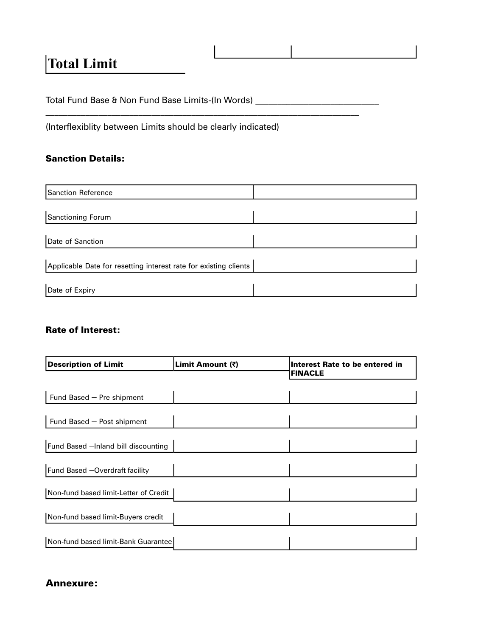# **Total Limit**

Total Fund Base & Non Fund Base Limits-(In Words) \_\_\_\_\_\_\_\_\_\_\_\_\_\_\_\_\_\_\_\_\_\_\_\_\_\_\_\_\_\_

(Interflexiblity between Limits should be clearly indicated)

### Sanction Details:

| <b>Sanction Reference</b>                                        |  |  |  |  |  |
|------------------------------------------------------------------|--|--|--|--|--|
|                                                                  |  |  |  |  |  |
| Sanctioning Forum                                                |  |  |  |  |  |
| Date of Sanction                                                 |  |  |  |  |  |
| Applicable Date for resetting interest rate for existing clients |  |  |  |  |  |
| Date of Expiry                                                   |  |  |  |  |  |

#### Rate of Interest:

| <b>Description of Limit</b>           | Limit Amount (₹) | Interest Rate to be entered in<br><b>FINACLE</b> |  |
|---------------------------------------|------------------|--------------------------------------------------|--|
|                                       |                  |                                                  |  |
| Fund Based - Pre shipment             |                  |                                                  |  |
|                                       |                  |                                                  |  |
| Fund Based - Post shipment            |                  |                                                  |  |
|                                       |                  |                                                  |  |
| Fund Based -Inland bill discounting   |                  |                                                  |  |
|                                       |                  |                                                  |  |
| Fund Based -Overdraft facility        |                  |                                                  |  |
|                                       |                  |                                                  |  |
| Non-fund based limit-Letter of Credit |                  |                                                  |  |
|                                       |                  |                                                  |  |
| Non-fund based limit-Buyers credit    |                  |                                                  |  |
|                                       |                  |                                                  |  |
| Non-fund based limit-Bank Guarantee   |                  |                                                  |  |

## Annexure: